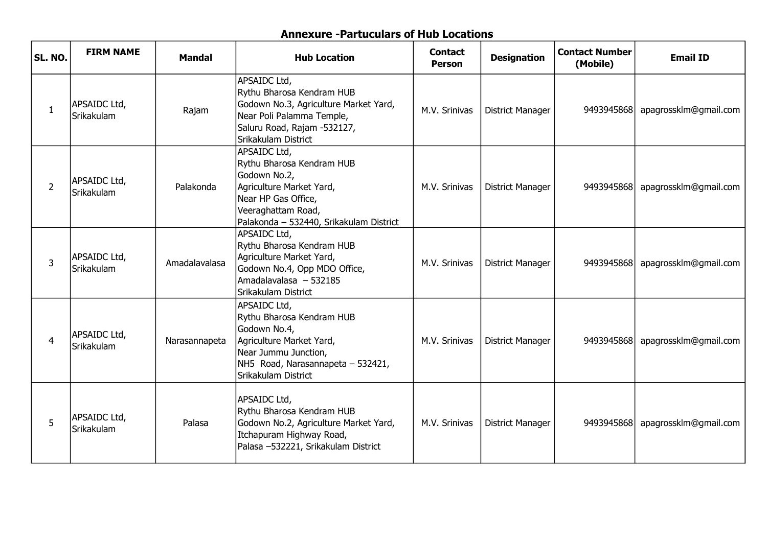## Annexure -Partuculars of Hub Locations

| <b>SL. NO.</b> | <b>FIRM NAME</b>                   | <b>Mandal</b> | <b>Hub Location</b>                                                                                                                                                           | <b>Contact</b><br><b>Person</b> | <b>Designation</b>      | <b>Contact Number</b><br>(Mobile) | <b>Email ID</b>       |
|----------------|------------------------------------|---------------|-------------------------------------------------------------------------------------------------------------------------------------------------------------------------------|---------------------------------|-------------------------|-----------------------------------|-----------------------|
| 1              | APSAIDC Ltd,<br><b>İSrikakulam</b> | Rajam         | APSAIDC Ltd,<br>Rythu Bharosa Kendram HUB<br>Godown No.3, Agriculture Market Yard,<br>Near Poli Palamma Temple,<br>Saluru Road, Rajam -532127,<br>Srikakulam District         | M.V. Srinivas                   | <b>District Manager</b> | 9493945868                        | apagrossklm@gmail.com |
| 2              | APSAIDC Ltd,<br>Srikakulam         | Palakonda     | APSAIDC Ltd,<br>Rythu Bharosa Kendram HUB<br>Godown No.2,<br>Agriculture Market Yard,<br>Near HP Gas Office,<br>Veeraghattam Road,<br>Palakonda - 532440, Srikakulam District | M.V. Srinivas                   | <b>District Manager</b> | 9493945868                        | apagrossklm@gmail.com |
| 3              | APSAIDC Ltd,<br><b>İSrikakulam</b> | Amadalavalasa | APSAIDC Ltd,<br>Rythu Bharosa Kendram HUB<br>Agriculture Market Yard,<br>Godown No.4, Opp MDO Office,<br>Amadalavalasa - 532185<br>Srikakulam District                        | M.V. Srinivas                   | <b>District Manager</b> | 9493945868                        | apagrossklm@gmail.com |
| $\overline{4}$ | APSAIDC Ltd,<br>Srikakulam         | Narasannapeta | APSAIDC Ltd,<br>Rythu Bharosa Kendram HUB<br>Godown No.4,<br>Agriculture Market Yard,<br>Near Jummu Junction,<br>NH5 Road, Narasannapeta - 532421,<br>Srikakulam District     | M.V. Srinivas                   | <b>District Manager</b> | 9493945868                        | apagrossklm@gmail.com |
| 5              | APSAIDC Ltd,<br>Srikakulam         | Palasa        | APSAIDC Ltd,<br>Rythu Bharosa Kendram HUB<br>Godown No.2, Agriculture Market Yard,<br>Itchapuram Highway Road,<br>Palasa -532221, Srikakulam District                         | M.V. Srinivas                   | <b>District Manager</b> | 9493945868                        | apagrossklm@gmail.com |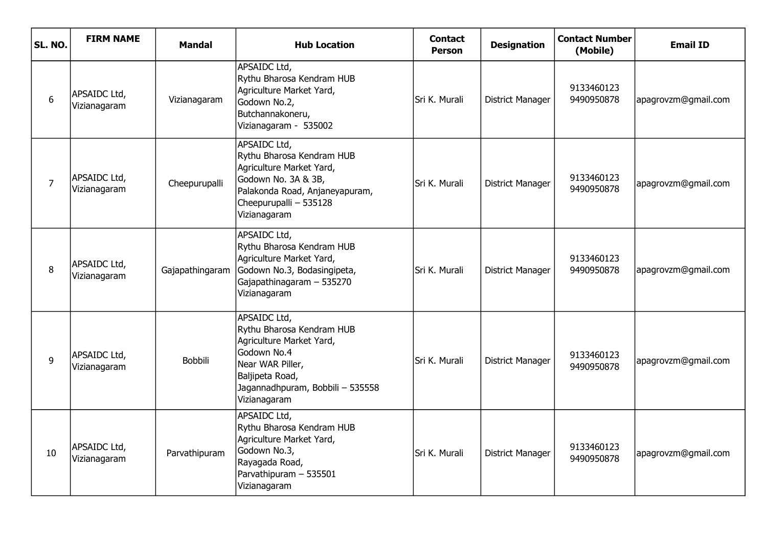| SL. NO.        | <b>FIRM NAME</b>             | <b>Mandal</b>   | <b>Hub Location</b>                                                                                                                                                             | <b>Contact</b><br><b>Person</b> | <b>Designation</b>      | <b>Contact Number</b><br>(Mobile) | <b>Email ID</b>     |
|----------------|------------------------------|-----------------|---------------------------------------------------------------------------------------------------------------------------------------------------------------------------------|---------------------------------|-------------------------|-----------------------------------|---------------------|
| 6              | APSAIDC Ltd,<br>Vizianagaram | Vizianagaram    | APSAIDC Ltd,<br>Rythu Bharosa Kendram HUB<br>Agriculture Market Yard,<br>Godown No.2,<br>Butchannakoneru,<br>Vizianagaram - 535002                                              | Sri K. Murali                   | <b>District Manager</b> | 9133460123<br>9490950878          | apagrovzm@gmail.com |
| $\overline{7}$ | APSAIDC Ltd,<br>Vizianagaram | Cheepurupalli   | <b>APSAIDC Ltd,</b><br>Rythu Bharosa Kendram HUB<br>Agriculture Market Yard,<br>Godown No. 3A & 3B,<br>Palakonda Road, Anjaneyapuram,<br>Cheepurupalli - 535128<br>Vizianagaram | Sri K. Murali                   | <b>District Manager</b> | 9133460123<br>9490950878          | apagrovzm@gmail.com |
| 8              | APSAIDC Ltd,<br>Vizianagaram | Gajapathingaram | APSAIDC Ltd,<br>Rythu Bharosa Kendram HUB<br>Agriculture Market Yard,<br>Godown No.3, Bodasingipeta,<br>Gajapathinagaram - 535270<br>Vizianagaram                               | Sri K. Murali                   | <b>District Manager</b> | 9133460123<br>9490950878          | apagrovzm@gmail.com |
| 9              | APSAIDC Ltd,<br>Vizianagaram | <b>Bobbili</b>  | APSAIDC Ltd,<br>Rythu Bharosa Kendram HUB<br>Agriculture Market Yard,<br>Godown No.4<br>Near WAR Piller,<br>Baljipeta Road,<br>Jagannadhpuram, Bobbili - 535558<br>Vizianagaram | Sri K. Murali                   | <b>District Manager</b> | 9133460123<br>9490950878          | apagrovzm@gmail.com |
| 10             | APSAIDC Ltd,<br>Vizianagaram | Parvathipuram   | APSAIDC Ltd,<br>Rythu Bharosa Kendram HUB<br>Agriculture Market Yard,<br>Godown No.3,<br>Rayagada Road,<br>Parvathipuram - 535501<br>Vizianagaram                               | Sri K. Murali                   | <b>District Manager</b> | 9133460123<br>9490950878          | apagrovzm@gmail.com |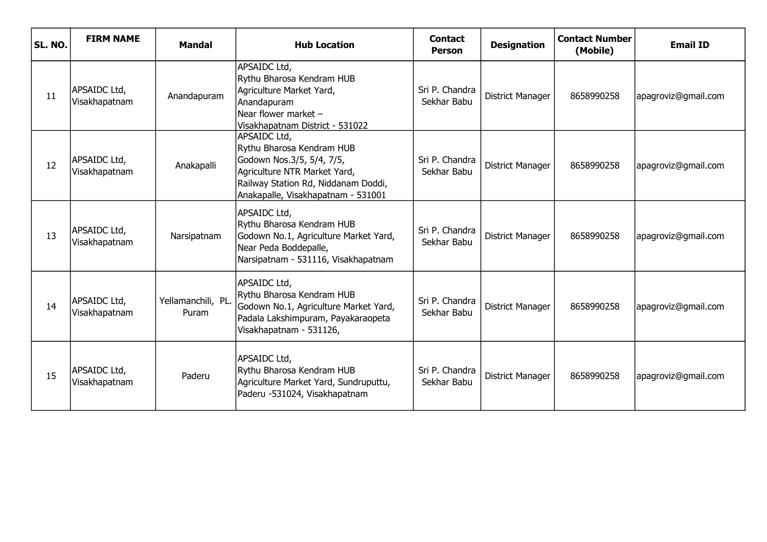| <b>SL. NO.</b> | <b>FIRM NAME</b>              | Mandal                      | <b>Hub Location</b>                                                                                                                                                                 | <b>Contact</b><br><b>Person</b> | <b>Designation</b>      | <b>Contact Number</b><br>(Mobile) | <b>Email ID</b>     |
|----------------|-------------------------------|-----------------------------|-------------------------------------------------------------------------------------------------------------------------------------------------------------------------------------|---------------------------------|-------------------------|-----------------------------------|---------------------|
| 11             | APSAIDC Ltd,<br>Visakhapatnam | Anandapuram                 | APSAIDC Ltd,<br>Rythu Bharosa Kendram HUB<br>Agriculture Market Yard,<br>Anandapuram<br>Near flower market $-$<br>Visakhapatnam District - 531022                                   | Sri P. Chandra<br>Sekhar Babu   | <b>District Manager</b> | 8658990258                        | apagroviz@gmail.com |
| 12             | APSAIDC Ltd,<br>Visakhapatnam | Anakapalli                  | APSAIDC Ltd,<br>Rythu Bharosa Kendram HUB<br>Godown Nos.3/5, 5/4, 7/5,<br>Agriculture NTR Market Yard,<br>Railway Station Rd, Niddanam Doddi,<br>Anakapalle, Visakhapatnam - 531001 | Sri P. Chandra<br>Sekhar Babu   | <b>District Manager</b> | 8658990258                        | apagroviz@gmail.com |
| 13             | APSAIDC Ltd,<br>Visakhapatnam | Narsipatnam                 | APSAIDC Ltd,<br>Rythu Bharosa Kendram HUB<br>Godown No.1, Agriculture Market Yard,<br>Near Peda Boddepalle,<br>Narsipatnam - 531116, Visakhapatnam                                  | Sri P. Chandra<br>Sekhar Babu   | <b>District Manager</b> | 8658990258                        | apagroviz@gmail.com |
| 14             | APSAIDC Ltd,<br>Visakhapatnam | Yellamanchili, PL.<br>Puram | APSAIDC Ltd,<br>Rythu Bharosa Kendram HUB<br>Godown No.1, Agriculture Market Yard,<br>Padala Lakshimpuram, Payakaraopeta<br>Visakhapatnam - 531126,                                 | Sri P. Chandra<br>Sekhar Babu   | District Manager        | 8658990258                        | apagroviz@gmail.com |
| 15             | APSAIDC Ltd,<br>Visakhapatnam | Paderu                      | APSAIDC Ltd,<br>Rythu Bharosa Kendram HUB<br>Agriculture Market Yard, Sundruputtu,<br>Paderu -531024, Visakhapatnam                                                                 | Sri P. Chandra<br>Sekhar Babu   | <b>District Manager</b> | 8658990258                        | apagroviz@gmail.com |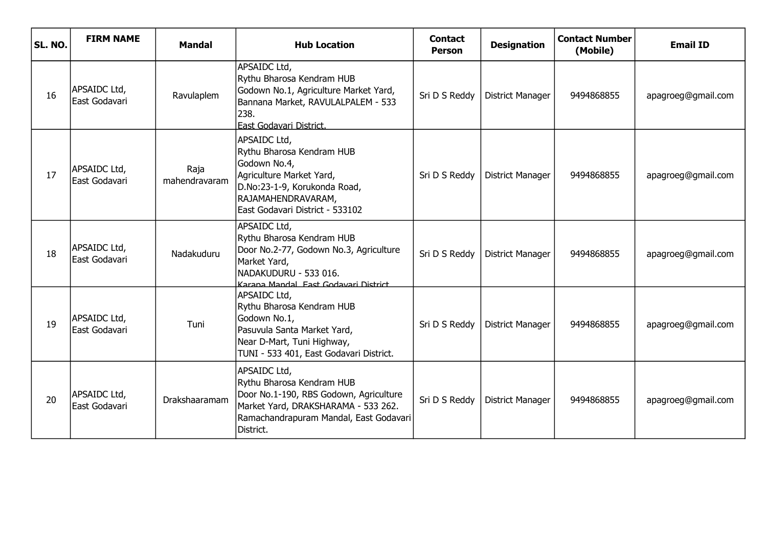| SL. NO. | <b>FIRM NAME</b>               | <b>Mandal</b>         | <b>Hub Location</b>                                                                                                                                                               | <b>Contact</b><br><b>Person</b> | <b>Designation</b>      | <b>Contact Number</b><br>(Mobile) | <b>Email ID</b>    |
|---------|--------------------------------|-----------------------|-----------------------------------------------------------------------------------------------------------------------------------------------------------------------------------|---------------------------------|-------------------------|-----------------------------------|--------------------|
| 16      | APSAIDC Ltd,<br>East Godavari  | Ravulaplem            | APSAIDC Ltd,<br>Rythu Bharosa Kendram HUB<br>Godown No.1, Agriculture Market Yard,<br>Bannana Market, RAVULALPALEM - 533<br>238.<br>East Godavari District.                       | Sri D S Reddy                   | <b>District Manager</b> | 9494868855                        | apagroeg@gmail.com |
| 17      | APSAIDC Ltd,<br>lEast Godavari | Raja<br>mahendravaram | APSAIDC Ltd,<br>Rythu Bharosa Kendram HUB<br>Godown No.4,<br>Agriculture Market Yard,<br>D.No:23-1-9, Korukonda Road,<br>RAJAMAHENDRAVARAM,<br>East Godavari District - 533102    | Sri D S Reddy                   | <b>District Manager</b> | 9494868855                        | apagroeg@gmail.com |
| 18      | APSAIDC Ltd,<br>East Godavari  | Nadakuduru            | APSAIDC Ltd,<br>Rythu Bharosa Kendram HUB<br>Door No.2-77, Godown No.3, Agriculture<br>Market Yard,<br>NADAKUDURU - 533 016.<br>Karana Mandal Fast Godavari District              | Sri D S Reddy                   | <b>District Manager</b> | 9494868855                        | apagroeg@gmail.com |
| 19      | APSAIDC Ltd,<br>lEast Godavari | Tuni                  | APSAIDC Ltd,<br>Rythu Bharosa Kendram HUB<br>Godown No.1,<br>Pasuvula Santa Market Yard,<br>Near D-Mart, Tuni Highway,<br>TUNI - 533 401, East Godavari District.                 | Sri D S Reddy                   | <b>District Manager</b> | 9494868855                        | apagroeg@gmail.com |
| 20      | APSAIDC Ltd,<br>East Godavari  | <b>Drakshaaramam</b>  | APSAIDC Ltd,<br>Rythu Bharosa Kendram HUB<br>Door No.1-190, RBS Godown, Agriculture<br>Market Yard, DRAKSHARAMA - 533 262.<br>Ramachandrapuram Mandal, East Godavari<br>District. | Sri D S Reddy                   | <b>District Manager</b> | 9494868855                        | apagroeg@gmail.com |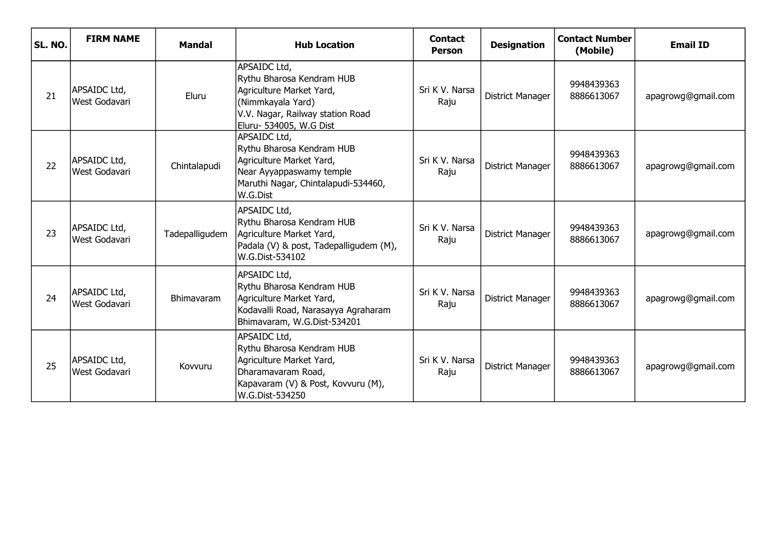| SL. NO. | <b>FIRM NAME</b>              | <b>Mandal</b>     | <b>Hub Location</b>                                                                                                                                       | <b>Contact</b><br><b>Person</b> | <b>Designation</b>      | <b>Contact Number</b><br>(Mobile) | <b>Email ID</b>    |
|---------|-------------------------------|-------------------|-----------------------------------------------------------------------------------------------------------------------------------------------------------|---------------------------------|-------------------------|-----------------------------------|--------------------|
| 21      | APSAIDC Ltd,<br>West Godavari | Eluru             | APSAIDC Ltd,<br>Rythu Bharosa Kendram HUB<br>Agriculture Market Yard,<br>(Nimmkayala Yard)<br>V.V. Nagar, Railway station Road<br>Eluru- 534005, W.G Dist | Sri K V. Narsa<br>Raju          | <b>District Manager</b> | 9948439363<br>8886613067          | apagrowg@gmail.com |
| 22      | APSAIDC Ltd,<br>West Godavari | Chintalapudi      | APSAIDC Ltd,<br>Rythu Bharosa Kendram HUB<br>Agriculture Market Yard,<br>Near Ayyappaswamy temple<br>Maruthi Nagar, Chintalapudi-534460,<br>W.G.Dist      | Sri K V. Narsa<br>Raju          | <b>District Manager</b> | 9948439363<br>8886613067          | apagrowg@gmail.com |
| 23      | APSAIDC Ltd,<br>West Godavari | Tadepalligudem    | APSAIDC Ltd,<br>Rythu Bharosa Kendram HUB<br>Agriculture Market Yard,<br>Padala (V) & post, Tadepalligudem (M),<br>W.G.Dist-534102                        | Sri K V. Narsa<br>Raju          | <b>District Manager</b> | 9948439363<br>8886613067          | apagrowg@gmail.com |
| 24      | APSAIDC Ltd,<br>West Godavari | <b>Bhimavaram</b> | APSAIDC Ltd,<br>Rythu Bharosa Kendram HUB<br>Agriculture Market Yard,<br>Kodavalli Road, Narasayya Agraharam<br>Bhimavaram, W.G.Dist-534201               | Sri K V. Narsa<br>Raju          | District Manager        | 9948439363<br>8886613067          | apagrowg@gmail.com |
| 25      | APSAIDC Ltd,<br>West Godavari | Kovvuru           | APSAIDC Ltd,<br>Rythu Bharosa Kendram HUB<br>Agriculture Market Yard,<br>Dharamavaram Road,<br>Kapavaram (V) & Post, Kovvuru (M),<br>W.G.Dist-534250      | Sri K V. Narsa<br>Raju          | <b>District Manager</b> | 9948439363<br>8886613067          | apagrowg@gmail.com |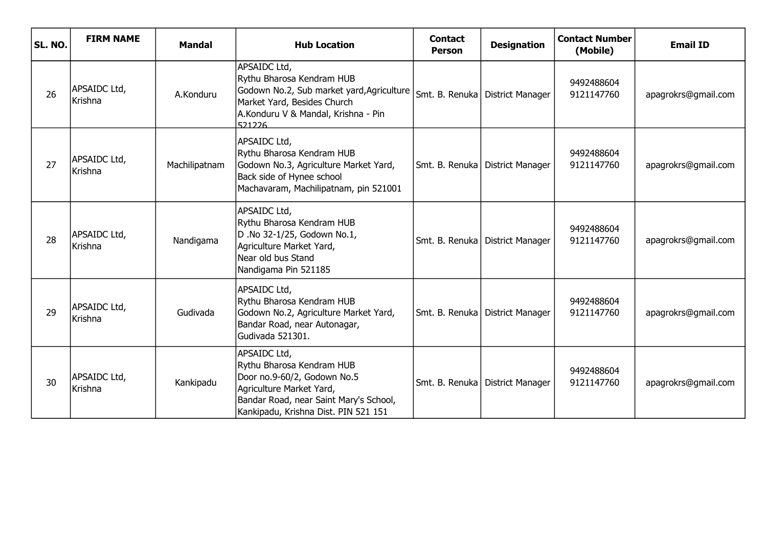| <b>SL. NO.</b> | <b>FIRM NAME</b>               | <b>Mandal</b> | <b>Hub Location</b>                                                                                                                                                                    | <b>Contact</b><br><b>Person</b> | <b>Designation</b>                | <b>Contact Number</b><br>(Mobile) | <b>Email ID</b>     |
|----------------|--------------------------------|---------------|----------------------------------------------------------------------------------------------------------------------------------------------------------------------------------------|---------------------------------|-----------------------------------|-----------------------------------|---------------------|
| 26             | APSAIDC Ltd,<br>Krishna        | A.Konduru     | APSAIDC Ltd,<br>Rythu Bharosa Kendram HUB<br>Godown No.2, Sub market yard, Agriculture<br>Market Yard, Besides Church<br>A.Konduru V & Mandal, Krishna - Pin<br>521226                 |                                 | Smt. B. Renuka   District Manager | 9492488604<br>9121147760          | apagrokrs@gmail.com |
| 27             | APSAIDC Ltd,<br><b>Krishna</b> | Machilipatnam | APSAIDC Ltd,<br>Rythu Bharosa Kendram HUB<br>Godown No.3, Agriculture Market Yard,<br>Back side of Hynee school<br>Machavaram, Machilipatnam, pin 521001                               |                                 | Smt. B. Renuka   District Manager | 9492488604<br>9121147760          | apagrokrs@gmail.com |
| 28             | APSAIDC Ltd,<br>Krishna        | Nandigama     | APSAIDC Ltd,<br>Rythu Bharosa Kendram HUB<br>D .No 32-1/25, Godown No.1,<br>Agriculture Market Yard,<br>Near old bus Stand<br>Nandigama Pin 521185                                     |                                 | Smt. B. Renuka   District Manager | 9492488604<br>9121147760          | apagrokrs@gmail.com |
| 29             | APSAIDC Ltd,<br>Krishna        | Gudivada      | APSAIDC Ltd,<br>Rythu Bharosa Kendram HUB<br>Godown No.2, Agriculture Market Yard,<br>Bandar Road, near Autonagar,<br>Gudivada 521301.                                                 |                                 | Smt. B. Renuka   District Manager | 9492488604<br>9121147760          | apagrokrs@gmail.com |
| 30             | APSAIDC Ltd,<br><b>Krishna</b> | Kankipadu     | APSAIDC Ltd,<br>Rythu Bharosa Kendram HUB<br>Door no.9-60/2, Godown No.5<br>Agriculture Market Yard,<br>Bandar Road, near Saint Mary's School,<br>Kankipadu, Krishna Dist. PIN 521 151 |                                 | Smt. B. Renuka   District Manager | 9492488604<br>9121147760          | apagrokrs@gmail.com |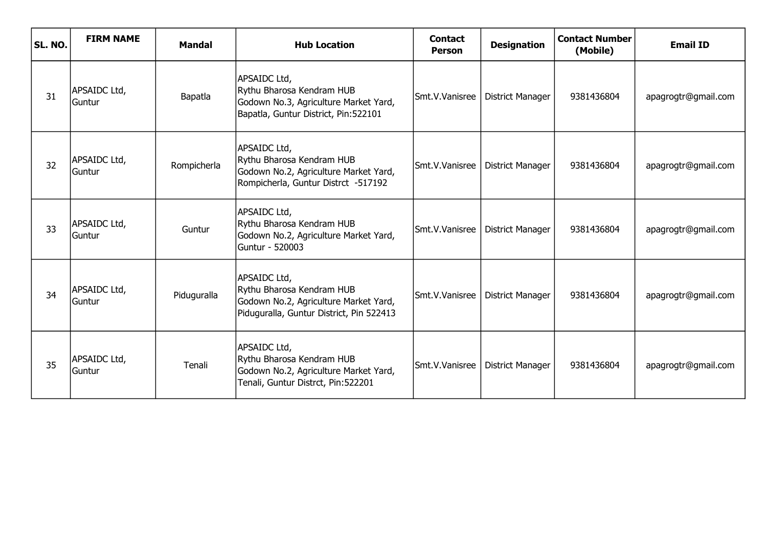| SL. NO. | <b>FIRM NAME</b>       | <b>Mandal</b> | <b>Hub Location</b>                                                                                                            | <b>Contact</b><br><b>Person</b> | <b>Designation</b>      | <b>Contact Number</b><br>(Mobile) | <b>Email ID</b>     |
|---------|------------------------|---------------|--------------------------------------------------------------------------------------------------------------------------------|---------------------------------|-------------------------|-----------------------------------|---------------------|
| 31      | APSAIDC Ltd,<br>Guntur | Bapatla       | APSAIDC Ltd,<br>Rythu Bharosa Kendram HUB<br>Godown No.3, Agriculture Market Yard,<br>Bapatla, Guntur District, Pin:522101     | Smt.V.Vanisree                  | <b>District Manager</b> | 9381436804                        | apagrogtr@gmail.com |
| 32      | APSAIDC Ltd,<br>Guntur | Rompicherla   | APSAIDC Ltd,<br>Rythu Bharosa Kendram HUB<br>Godown No.2, Agriculture Market Yard,<br>Rompicherla, Guntur Distrct -517192      | Smt.V.Vanisree                  | <b>District Manager</b> | 9381436804                        | apagrogtr@gmail.com |
| 33      | APSAIDC Ltd,<br>Guntur | Guntur        | APSAIDC Ltd,<br>Rythu Bharosa Kendram HUB<br>Godown No.2, Agriculture Market Yard,<br>Guntur - 520003                          | Smt.V.Vanisree                  | <b>District Manager</b> | 9381436804                        | apagrogtr@gmail.com |
| 34      | APSAIDC Ltd,<br>Guntur | Piduguralla   | APSAIDC Ltd,<br>Rythu Bharosa Kendram HUB<br>Godown No.2, Agriculture Market Yard,<br>Piduguralla, Guntur District, Pin 522413 | Smt.V.Vanisree                  | <b>District Manager</b> | 9381436804                        | apagrogtr@gmail.com |
| 35      | APSAIDC Ltd,<br>Guntur | Tenali        | APSAIDC Ltd,<br>Rythu Bharosa Kendram HUB<br>Godown No.2, Agriculture Market Yard,<br>Tenali, Guntur Distrct, Pin:522201       | Smt.V.Vanisree                  | <b>District Manager</b> | 9381436804                        | apagrogtr@gmail.com |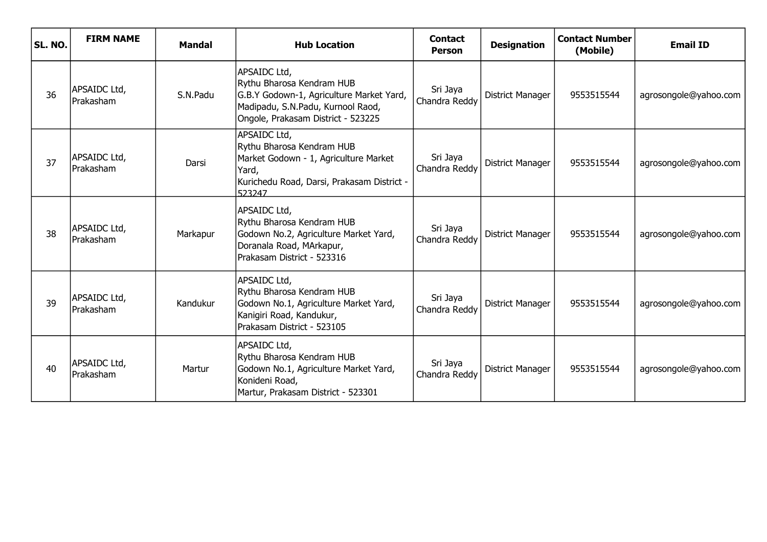| SL. NO. | <b>FIRM NAME</b>          | <b>Mandal</b> | <b>Hub Location</b>                                                                                                                                              | <b>Contact</b><br><b>Person</b> | <b>Designation</b>      | <b>Contact Number</b><br>(Mobile) | <b>Email ID</b>       |
|---------|---------------------------|---------------|------------------------------------------------------------------------------------------------------------------------------------------------------------------|---------------------------------|-------------------------|-----------------------------------|-----------------------|
| 36      | APSAIDC Ltd,<br>Prakasham | S.N.Padu      | APSAIDC Ltd,<br>Rythu Bharosa Kendram HUB<br>G.B.Y Godown-1, Agriculture Market Yard,<br>Madipadu, S.N.Padu, Kurnool Raod,<br>Ongole, Prakasam District - 523225 | Sri Jaya<br>Chandra Reddy       | <b>District Manager</b> | 9553515544                        | agrosongole@yahoo.com |
| 37      | APSAIDC Ltd,<br>Prakasham | Darsi         | APSAIDC Ltd,<br>Rythu Bharosa Kendram HUB<br>Market Godown - 1, Agriculture Market<br>Yard,<br>Kurichedu Road, Darsi, Prakasam District -<br>523247              | Sri Jaya<br>Chandra Reddy       | District Manager        | 9553515544                        | agrosongole@yahoo.com |
| 38      | APSAIDC Ltd,<br>Prakasham | Markapur      | APSAIDC Ltd,<br>Rythu Bharosa Kendram HUB<br>Godown No.2, Agriculture Market Yard,<br>Doranala Road, MArkapur,<br>Prakasam District - 523316                     | Sri Jaya<br>Chandra Reddy       | <b>District Manager</b> | 9553515544                        | agrosongole@yahoo.com |
| 39      | APSAIDC Ltd,<br>Prakasham | Kandukur      | APSAIDC Ltd,<br>Rythu Bharosa Kendram HUB<br>Godown No.1, Agriculture Market Yard,<br>Kanigiri Road, Kandukur,<br>Prakasam District - 523105                     | Sri Jaya<br>Chandra Reddy       | <b>District Manager</b> | 9553515544                        | agrosongole@yahoo.com |
| 40      | APSAIDC Ltd,<br>Prakasham | Martur        | APSAIDC Ltd,<br>Rythu Bharosa Kendram HUB<br>Godown No.1, Agriculture Market Yard,<br>Konideni Road,<br>Martur, Prakasam District - 523301                       | Sri Jaya<br>Chandra Reddy       | District Manager        | 9553515544                        | agrosongole@yahoo.com |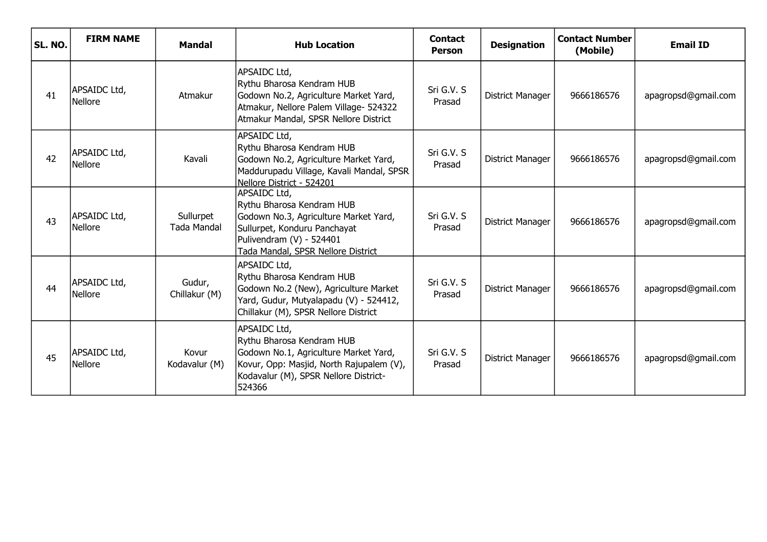| SL. NO. | <b>FIRM NAME</b>               | <b>Mandal</b>                   | <b>Hub Location</b>                                                                                                                                                                  | <b>Contact</b><br><b>Person</b> | <b>Designation</b>      | <b>Contact Number</b><br>(Mobile) | <b>Email ID</b>     |
|---------|--------------------------------|---------------------------------|--------------------------------------------------------------------------------------------------------------------------------------------------------------------------------------|---------------------------------|-------------------------|-----------------------------------|---------------------|
| 41      | APSAIDC Ltd,<br><b>Nellore</b> | Atmakur                         | APSAIDC Ltd,<br>Rythu Bharosa Kendram HUB<br>Godown No.2, Agriculture Market Yard,<br>Atmakur, Nellore Palem Village- 524322<br>Atmakur Mandal, SPSR Nellore District                | Sri G.V. S<br>Prasad            | District Manager        | 9666186576                        | apagropsd@gmail.com |
| 42      | APSAIDC Ltd,<br>Nellore        | Kavali                          | APSAIDC Ltd,<br>Rythu Bharosa Kendram HUB<br>Godown No.2, Agriculture Market Yard,<br>Maddurupadu Village, Kavali Mandal, SPSR<br>Nellore District - 524201                          | Sri G.V. S<br>Prasad            | District Manager        | 9666186576                        | apagropsd@gmail.com |
| 43      | APSAIDC Ltd,<br>Nellore        | Sullurpet<br><b>Tada Mandal</b> | APSAIDC Ltd,<br>Rythu Bharosa Kendram HUB<br>Godown No.3, Agriculture Market Yard,<br>Sullurpet, Konduru Panchayat<br>Pulivendram (V) - 524401<br>Tada Mandal, SPSR Nellore District | Sri G.V. S<br>Prasad            | <b>District Manager</b> | 9666186576                        | apagropsd@gmail.com |
| 44      | APSAIDC Ltd,<br><b>Nellore</b> | Gudur,<br>Chillakur (M)         | APSAIDC Ltd,<br>Rythu Bharosa Kendram HUB<br>Godown No.2 (New), Agriculture Market<br>Yard, Gudur, Mutyalapadu (V) - 524412,<br>Chillakur (M), SPSR Nellore District                 | Sri G.V. S<br>Prasad            | District Manager        | 9666186576                        | apagropsd@gmail.com |
| 45      | APSAIDC Ltd,<br>Nellore        | Kovur<br>Kodavalur (M)          | APSAIDC Ltd,<br>Rythu Bharosa Kendram HUB<br>Godown No.1, Agriculture Market Yard,<br>Kovur, Opp: Masjid, North Rajupalem (V),<br>Kodavalur (M), SPSR Nellore District-<br>524366    | Sri G.V. S<br>Prasad            | District Manager        | 9666186576                        | apagropsd@gmail.com |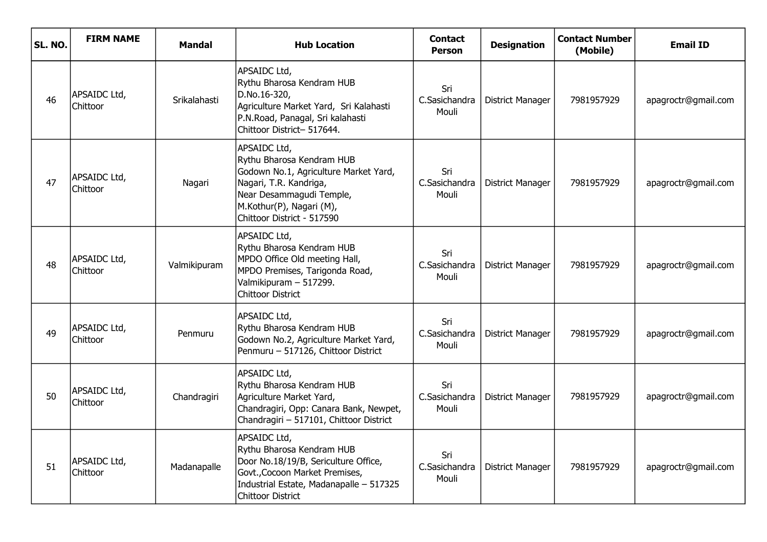| SL. NO. | <b>FIRM NAME</b>                | Mandal       | <b>Hub Location</b>                                                                                                                                                                                | <b>Contact</b><br><b>Person</b> | <b>Designation</b>      | <b>Contact Number</b><br>(Mobile) | <b>Email ID</b>     |
|---------|---------------------------------|--------------|----------------------------------------------------------------------------------------------------------------------------------------------------------------------------------------------------|---------------------------------|-------------------------|-----------------------------------|---------------------|
| 46      | APSAIDC Ltd,<br><b>Chittoor</b> | Srikalahasti | APSAIDC Ltd,<br>Rythu Bharosa Kendram HUB<br>D.No.16-320,<br>Agriculture Market Yard, Sri Kalahasti<br>P.N.Road, Panagal, Sri kalahasti<br>Chittoor District- 517644.                              | Sri<br>C.Sasichandra<br>Mouli   | <b>District Manager</b> | 7981957929                        | apagroctr@gmail.com |
| 47      | APSAIDC Ltd,<br>Chittoor        | Nagari       | APSAIDC Ltd,<br>Rythu Bharosa Kendram HUB<br>Godown No.1, Agriculture Market Yard,<br>Nagari, T.R. Kandriga,<br>Near Desammagudi Temple,<br>M.Kothur(P), Nagari (M),<br>Chittoor District - 517590 | Sri<br>C.Sasichandra<br>Mouli   | <b>District Manager</b> | 7981957929                        | apagroctr@gmail.com |
| 48      | APSAIDC Ltd,<br>Chittoor        | Valmikipuram | APSAIDC Ltd,<br>Rythu Bharosa Kendram HUB<br>MPDO Office Old meeting Hall,<br>MPDO Premises, Tarigonda Road,<br>Valmikipuram - 517299.<br><b>Chittoor District</b>                                 | Sri<br>C.Sasichandra<br>Mouli   | <b>District Manager</b> | 7981957929                        | apagroctr@gmail.com |
| 49      | APSAIDC Ltd,<br>Chittoor        | Penmuru      | APSAIDC Ltd,<br>Rythu Bharosa Kendram HUB<br>Godown No.2, Agriculture Market Yard,<br>Penmuru - 517126, Chittoor District                                                                          | Sri<br>C.Sasichandra<br>Mouli   | <b>District Manager</b> | 7981957929                        | apagroctr@gmail.com |
| 50      | APSAIDC Ltd,<br>Chittoor        | Chandragiri  | APSAIDC Ltd,<br>Rythu Bharosa Kendram HUB<br>Agriculture Market Yard,<br>Chandragiri, Opp: Canara Bank, Newpet,<br>Chandragiri - 517101, Chittoor District                                         | Sri<br>C.Sasichandra<br>Mouli   | <b>District Manager</b> | 7981957929                        | apagroctr@gmail.com |
| 51      | APSAIDC Ltd,<br>Chittoor        | Madanapalle  | APSAIDC Ltd,<br>Rythu Bharosa Kendram HUB<br>Door No.18/19/B, Sericulture Office,<br>Govt., Cocoon Market Premises,<br>Industrial Estate, Madanapalle - 517325<br>Chittoor District                | Sri<br>C.Sasichandra<br>Mouli   | <b>District Manager</b> | 7981957929                        | apagroctr@gmail.com |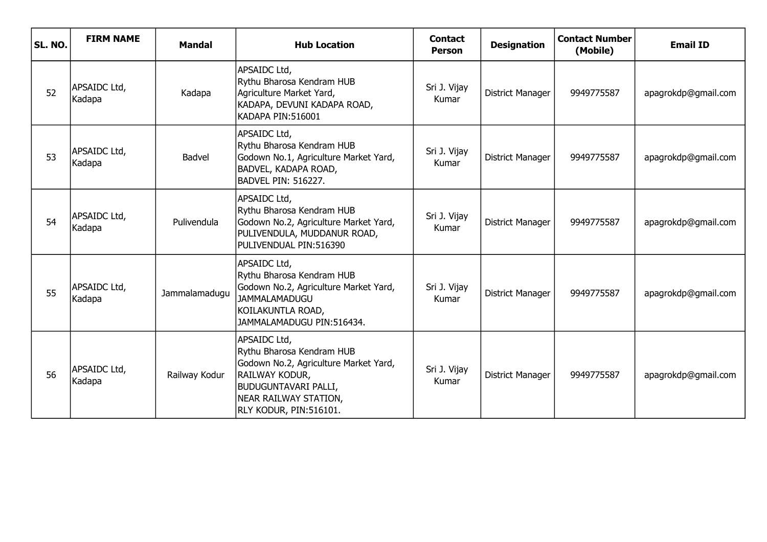| SL. NO. | <b>FIRM NAME</b>       | <b>Mandal</b> | <b>Hub Location</b>                                                                                                                                                                    | <b>Contact</b><br><b>Person</b> | <b>Designation</b>      | <b>Contact Number</b><br>(Mobile) | <b>Email ID</b>     |
|---------|------------------------|---------------|----------------------------------------------------------------------------------------------------------------------------------------------------------------------------------------|---------------------------------|-------------------------|-----------------------------------|---------------------|
| 52      | APSAIDC Ltd,<br>Kadapa | Kadapa        | APSAIDC Ltd,<br>Rythu Bharosa Kendram HUB<br>Agriculture Market Yard,<br>KADAPA, DEVUNI KADAPA ROAD,<br>KADAPA PIN:516001                                                              | Sri J. Vijay<br>Kumar           | District Manager        | 9949775587                        | apagrokdp@gmail.com |
| 53      | APSAIDC Ltd,<br>Kadapa | Badvel        | APSAIDC Ltd,<br>Rythu Bharosa Kendram HUB<br>Godown No.1, Agriculture Market Yard,<br>BADVEL, KADAPA ROAD,<br>BADVEL PIN: 516227.                                                      | Sri J. Vijay<br>Kumar           | District Manager        | 9949775587                        | apagrokdp@gmail.com |
| 54      | APSAIDC Ltd,<br>Kadapa | Pulivendula   | APSAIDC Ltd,<br>Rythu Bharosa Kendram HUB<br>Godown No.2, Agriculture Market Yard,<br>PULIVENDULA, MUDDANUR ROAD,<br>PULIVENDUAL PIN:516390                                            | Sri J. Vijay<br>Kumar           | <b>District Manager</b> | 9949775587                        | apagrokdp@gmail.com |
| 55      | APSAIDC Ltd,<br>Kadapa | Jammalamadugu | APSAIDC Ltd,<br>Rythu Bharosa Kendram HUB<br>Godown No.2, Agriculture Market Yard,<br><b>JAMMALAMADUGU</b><br>KOILAKUNTLA ROAD,<br>JAMMALAMADUGU PIN:516434.                           | Sri J. Vijay<br>Kumar           | <b>District Manager</b> | 9949775587                        | apagrokdp@gmail.com |
| 56      | APSAIDC Ltd,<br>Kadapa | Railway Kodur | APSAIDC Ltd,<br>Rythu Bharosa Kendram HUB<br>Godown No.2, Agriculture Market Yard,<br>RAILWAY KODUR,<br><b>BUDUGUNTAVARI PALLI,</b><br>NEAR RAILWAY STATION,<br>RLY KODUR, PIN:516101. | Sri J. Vijay<br>Kumar           | <b>District Manager</b> | 9949775587                        | apagrokdp@gmail.com |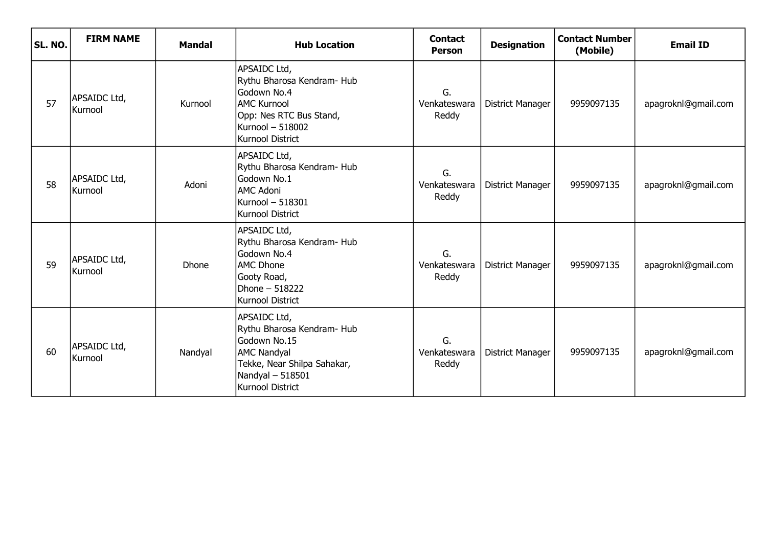| SL. NO. | <b>FIRM NAME</b>        | <b>Mandal</b> | <b>Hub Location</b>                                                                                                                                      | <b>Contact</b><br><b>Person</b> | <b>Designation</b> | <b>Contact Number</b><br>(Mobile) | <b>Email ID</b>     |
|---------|-------------------------|---------------|----------------------------------------------------------------------------------------------------------------------------------------------------------|---------------------------------|--------------------|-----------------------------------|---------------------|
| 57      | APSAIDC Ltd,<br>Kurnool | Kurnool       | APSAIDC Ltd,<br>Rythu Bharosa Kendram- Hub<br>Godown No.4<br><b>AMC Kurnool</b><br>Opp: Nes RTC Bus Stand,<br>Kurnool - 518002<br>Kurnool District       | G.<br>Venkateswara<br>Reddy     | District Manager   | 9959097135                        | apagroknl@gmail.com |
| 58      | APSAIDC Ltd,<br>Kurnool | Adoni         | APSAIDC Ltd,<br>Rythu Bharosa Kendram- Hub<br>Godown No.1<br><b>AMC Adoni</b><br>Kurnool - 518301<br>Kurnool District                                    | G.<br>Venkateswara<br>Reddy     | District Manager   | 9959097135                        | apagroknl@gmail.com |
| 59      | APSAIDC Ltd,<br>Kurnool | Dhone         | APSAIDC Ltd,<br>Rythu Bharosa Kendram- Hub<br>Godown No.4<br><b>AMC Dhone</b><br>Gooty Road,<br>Dhone - 518222<br><b>Kurnool District</b>                | G.<br>Venkateswara<br>Reddy     | District Manager   | 9959097135                        | apagroknl@gmail.com |
| 60      | APSAIDC Ltd,<br>Kurnool | Nandyal       | APSAIDC Ltd,<br>Rythu Bharosa Kendram- Hub<br>Godown No.15<br><b>AMC Nandyal</b><br>Tekke, Near Shilpa Sahakar,<br>Nandyal $-518501$<br>Kurnool District | G.<br>Venkateswara<br>Reddy     | District Manager   | 9959097135                        | apagroknl@gmail.com |